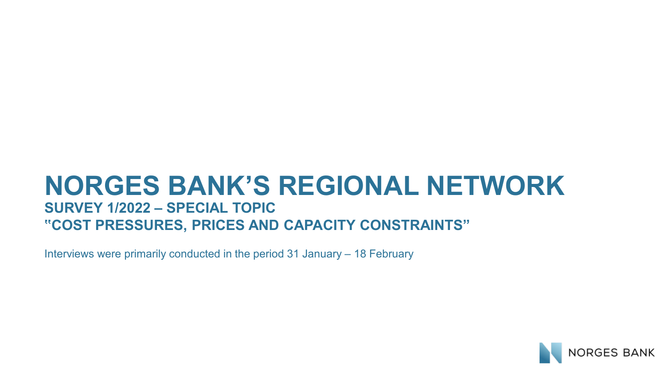#### **NORGES BANK'S REGIONAL NETWORK SURVEY 1/2022 – SPECIAL TOPIC "COST PRESSURES, PRICES AND CAPACITY CONSTRAINTS"**

Interviews were primarily conducted in the period 31 January – 18 February

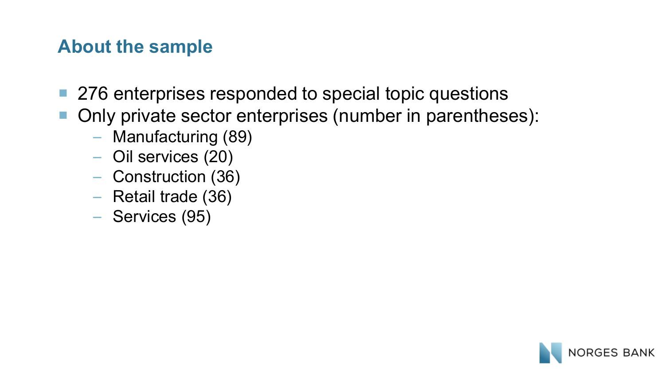#### **About the sample**

- 276 enterprises responded to special topic questions
- Only private sector enterprises (number in parentheses):
	- Manufacturing (89)
	- Oil services (20)
	- Construction (36)
	- Retail trade (36)
	- Services (95)

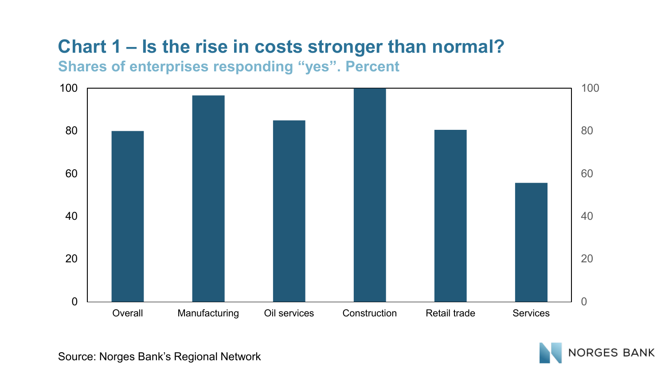# **Chart 1 – Is the rise in costs stronger than normal?**

**Shares of enterprises responding "yes". Percent**





Source: Norges Bank's Regional Network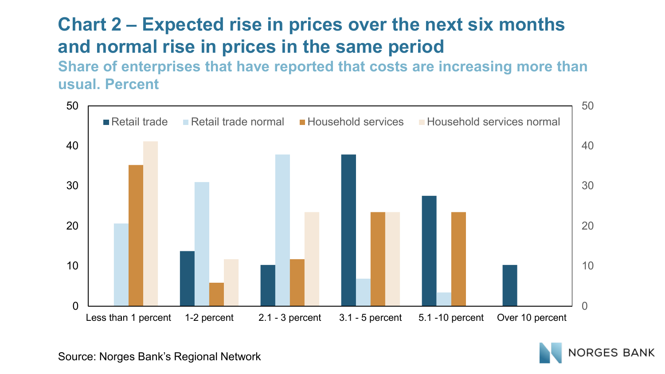# **Chart 2 – Expected rise in prices over the next six months and normal rise in prices in the same period**

**Share of enterprises that have reported that costs are increasing more than usual. Percent**



**ORGES BANK** 

Source: Norges Bank's Regional Network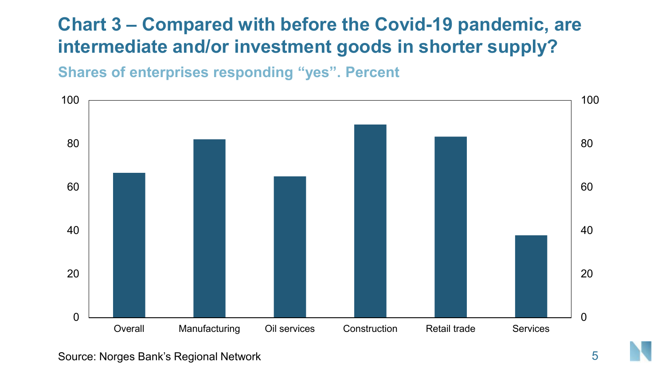### **Chart 3 – Compared with before the Covid-19 pandemic, are intermediate and/or investment goods in shorter supply?**

**Shares of enterprises responding "yes". Percent**



Source: Norges Bank's Regional Network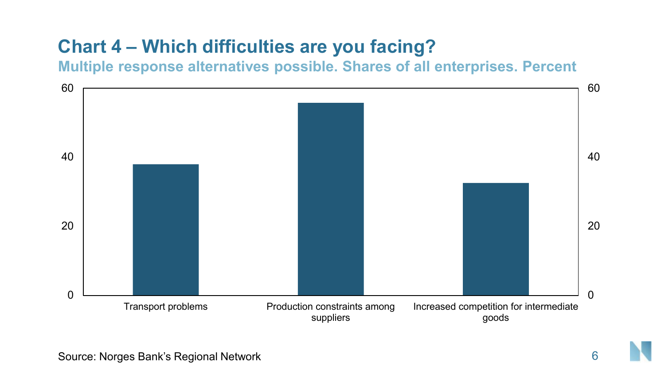# **Chart 4 – Which difficulties are you facing?**

**Multiple response alternatives possible. Shares of all enterprises. Percent**

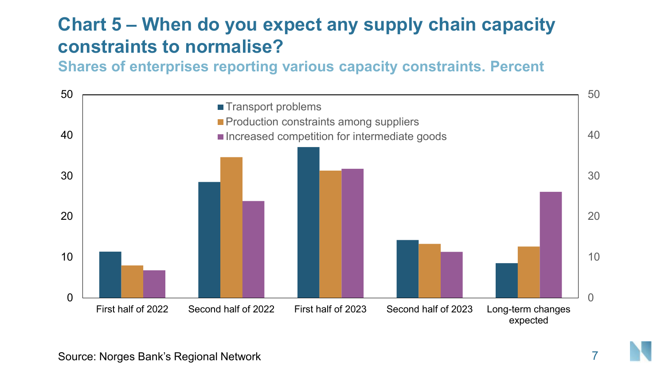### **Chart 5 – When do you expect any supply chain capacity constraints to normalise?**

**Shares of enterprises reporting various capacity constraints. Percent**

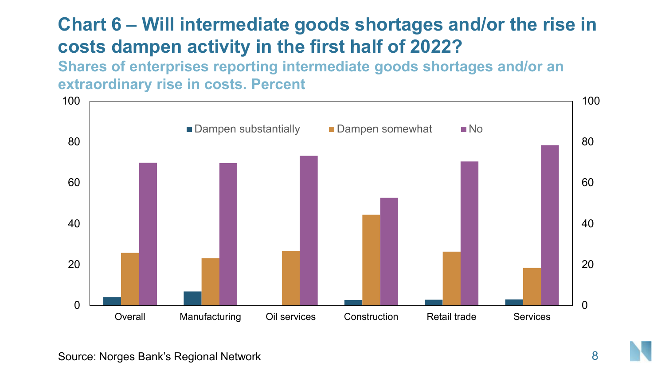# **Chart 6 – Will intermediate goods shortages and/or the rise in costs dampen activity in the first half of 2022?**

**Shares of enterprises reporting intermediate goods shortages and/or an extraordinary rise in costs. Percent**